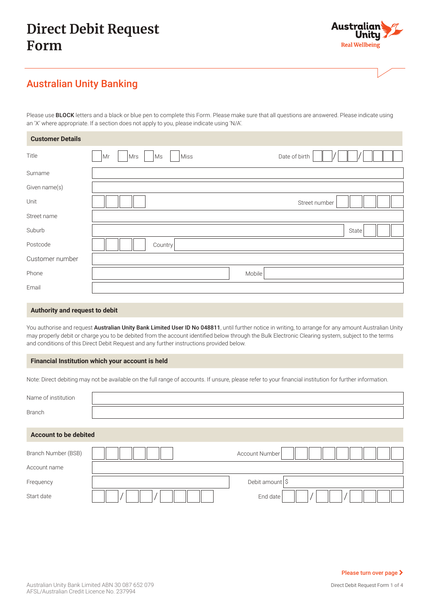# **Direct Debit Request Form**



# Australian Unity Banking

Please use **BLOCK** letters and a black or blue pen to complete this Form. Please make sure that all questions are answered. Please indicate using an 'X' where appropriate. If a section does not apply to you, please indicate using 'N/A'.

| <b>Customer Details</b> |                                          |
|-------------------------|------------------------------------------|
| Title                   | Date of birth<br>Miss<br>Mrs<br>Ms<br>Mr |
| Surname                 |                                          |
| Given name(s)           |                                          |
| Unit                    | Street number                            |
| Street name             |                                          |
| Suburb                  | State                                    |
| Postcode                | Country                                  |
| Customer number         |                                          |
| Phone                   | Mobile                                   |
| Email                   |                                          |

#### **Authority and request to debit**

You authorise and request Australian Unity Bank Limited User ID No 048811, until further notice in writing, to arrange for any amount Australian Unity may properly debit or charge you to be debited from the account identified below through the Bulk Electronic Clearing system, subject to the terms and conditions of this Direct Debit Request and any further instructions provided below.

#### **Financial Institution which your account is held**

Note: Direct debiting may not be available on the full range of accounts. If unsure, please refer to your financial institution for further information.

| Name of institution          |                            |
|------------------------------|----------------------------|
| <b>Branch</b>                |                            |
| <b>Account to be debited</b> |                            |
| Branch Number (BSB)          | <b>Account Number</b>      |
| Account name                 |                            |
| Frequency                    | Debit amount $\frac{1}{5}$ |
| Start date                   | End date                   |

Direct Debit Request Form 1 of 4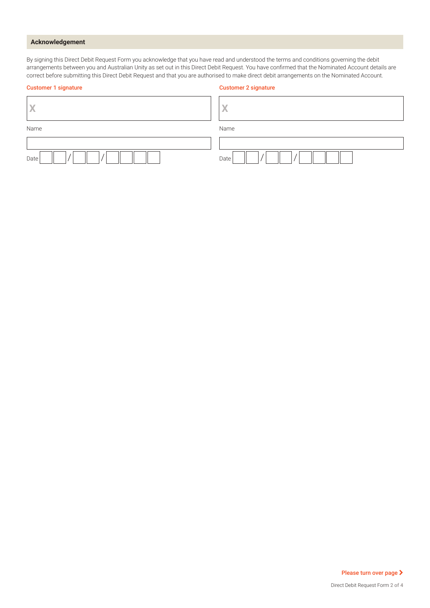### **Acknowledgement**

By signing this Direct Debit Request Form you acknowledge that you have read and understood the terms and conditions governing the debit arrangements between you and Australian Unity as set out in this Direct Debit Request. You have confirmed that the Nominated Account details are correct before submitting this Direct Debit Request and that you are authorised to make direct debit arrangements on the Nominated Account.

| <b>Customer 1 signature</b> | <b>Customer 2 signature</b> |
|-----------------------------|-----------------------------|
| X                           | X                           |
| Name                        | Name                        |
|                             |                             |
| Date                        | Date                        |

Please turn over page >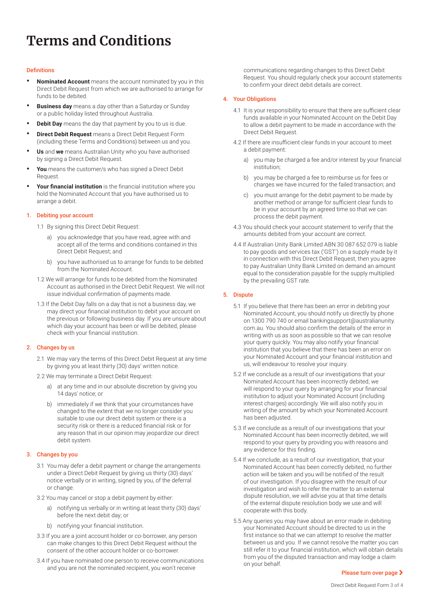# **Terms and Conditions**

#### **Definitions**

- **• Nominated Account** means the account nominated by you in this Direct Debit Request from which we are authorised to arrange for funds to be debited.
- **• Business day** means a day other than a Saturday or Sunday or a public holiday listed throughout Australia.
- **• Debit Day** means the day that payment by you to us is due.
- **• Direct Debit Request** means a Direct Debit Request Form (including these Terms and Conditions) between us and you.
- **• Us** and **we** means Australian Unity who you have authorised by signing a Direct Debit Request.
- **• You** means the customer/s who has signed a Direct Debit Request.
- **• Your financial institution** is the financial institution where you hold the Nominated Account that you have authorised us to arrange a debit.

#### 1. Debiting your account

- 1.1 By signing this Direct Debit Request:
	- a) you acknowledge that you have read, agree with and accept all of the terms and conditions contained in this Direct Debit Request; and
	- b) you have authorised us to arrange for funds to be debited from the Nominated Account.
- 1.2 We will arrange for funds to be debited from the Nominated Account as authorised in the Direct Debit Request. We will not issue individual confirmation of payments made.
- 1.3 If the Debit Day falls on a day that is not a business day, we may direct your financial institution to debit your account on the previous or following business day. If you are unsure about which day your account has been or will be debited, please check with your financial institution.

#### 2. Changes by us

- 2.1 We may vary the terms of this Direct Debit Request at any time by giving you at least thirty (30) days' written notice.
- 2.2 We may terminate a Direct Debit Request:
	- a) at any time and in our absolute discretion by giving you 14 days' notice; or
	- b) immediately if we think that your circumstances have changed to the extent that we no longer consider you suitable to use our direct debit system or there is a security risk or there is a reduced financial risk or for any reason that in our opinion may jeopardize our direct debit system.

#### 3. Changes by you

- 3.1 You may defer a debit payment or change the arrangements under a Direct Debit Request by giving us thirty (30) days' notice verbally or in writing, signed by you, of the deferral or change.
- 3.2 You may cancel or stop a debit payment by either:
	- a) notifying us verbally or in writing at least thirty (30) days' before the next debit day; or
	- b) notifying your financial institution.
- 3.3 If you are a joint account holder or co-borrower, any person can make changes to this Direct Debit Request without the consent of the other account holder or co-borrower.
- 3.4 If you have nominated one person to receive communications and you are not the nominated recipient, you won't receive

communications regarding changes to this Direct Debit Request. You should regularly check your account statements to confirm your direct debit details are correct.

#### 4. Your Obligations

- 4.1 It is your responsibility to ensure that there are sufficient clear funds available in your Nominated Account on the Debit Day to allow a debit payment to be made in accordance with the Direct Debit Request.
- 4.2 If there are insufficient clear funds in your account to meet a debit payment:
	- a) you may be charged a fee and/or interest by your financial institution;
	- b) you may be charged a fee to reimburse us for fees or charges we have incurred for the failed transaction; and
	- c) you must arrange for the debit payment to be made by another method or arrange for sufficient clear funds to be in your account by an agreed time so that we can process the debit payment.
- 4.3 You should check your account statement to verify that the amounts debited from your account are correct.
- 4.4 If Australian Unity Bank Limited ABN 30 087 652 079 is liable to pay goods and services tax ('GST') on a supply made by it in connection with this Direct Debit Request, then you agree to pay Australian Unity Bank Limited on demand an amount equal to the consideration payable for the supply multiplied by the prevailing GST rate.

#### 5. Dispute

- 5.1 If you believe that there has been an error in debiting your Nominated Account, you should notify us directly by phone on 1300 790 740 or email [bankingsupport@australianunity.](mailto:bankingsupport%40australianunity.com.au?subject=) [com.au](mailto:bankingsupport%40australianunity.com.au?subject=). You should also confirm the details of the error in writing with us as soon as possible so that we can resolve your query quickly. You may also notify your financial institution that you believe that there has been an error on your Nominated Account and your financial institution and us, will endeavour to resolve your inquiry.
- 5.2 If we conclude as a result of our investigations that your Nominated Account has been incorrectly debited, we will respond to your query by arranging for your financial institution to adjust your Nominated Account (including interest charges) accordingly. We will also notify you in writing of the amount by which your Nominated Account has been adjusted.
- 5.3 If we conclude as a result of our investigations that your Nominated Account has been incorrectly debited, we will respond to your query by providing you with reasons and any evidence for this finding.
- 5.4 If we conclude, as a result of our investigation, that your Nominated Account has been correctly debited, no further action will be taken and you will be notified of the result of our investigation. If you disagree with the result of our investigation and wish to refer the matter to an external dispute resolution, we will advise you at that time details of the external dispute resolution body we use and will cooperate with this body.
- 5.5 Any queries you may have about an error made in debiting your Nominated Account should be directed to us in the first instance so that we can attempt to resolve the matter between us and you. If we cannot resolve the matter you can still refer it to your financial institution, which will obtain details from you of the disputed transaction and may lodge a claim on your behalf.

#### Please turn over page >